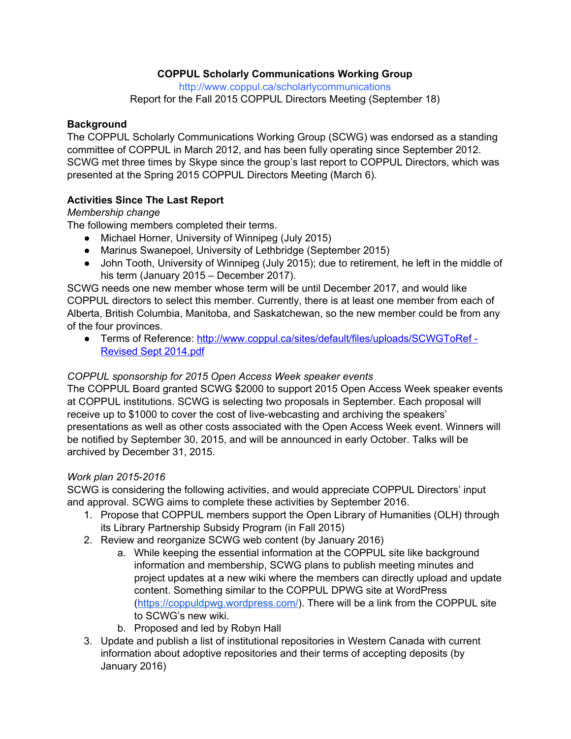# **COPPUL Scholarly Communications Working Group**

<http://www.coppul.ca/scholarlycommunications>

Report for the Fall 2015 COPPUL Directors Meeting (September 18)

### **Background**

The COPPUL Scholarly Communications Working Group (SCWG) was endorsed as a standing committee of COPPUL in March 2012, and has been fully operating since September 2012. SCWG met three times by Skype since the group's last report to COPPUL Directors, which was presented at the Spring 2015 COPPUL Directors Meeting (March 6).

## **Activities Since The Last Report**

## *Membership change*

The following members completed their terms.

- Michael Horner, University of Winnipeg (July 2015)
- Marinus Swanepoel, University of Lethbridge (September 2015)
- John Tooth, University of Winnipeg (July 2015); due to retirement, he left in the middle of his term (January 2015 – December 2017).

SCWG needs one new member whose term will be until December 2017, and would like COPPUL directors to select this member. Currently, there is at least one member from each of Alberta, British Columbia, Manitoba, and Saskatchewan, so the new member could be from any of the four provinces.

● Terms of Reference: [http://www.coppul.ca/sites/default/files/uploads/SCWGToRef](http://www.coppul.ca/sites/default/files/uploads/SCWGToRef%20-%20Revised%20Sept%202014.pdf) Revised Sept [2014.pdf](http://www.coppul.ca/sites/default/files/uploads/SCWGToRef%20-%20Revised%20Sept%202014.pdf)

### *COPPUL sponsorship for 2015 Open Access Week speaker events*

The COPPUL Board granted SCWG \$2000 to support 2015 Open Access Week speaker events at COPPUL institutions. SCWG is selecting two proposals in September. Each proposal will receive up to \$1000 to cover the cost of live-webcasting and archiving the speakers' presentations as well as other costs associated with the Open Access Week event. Winners will be notified by September 30, 2015, and will be announced in early October. Talks will be archived by December 31, 2015.

### *Work plan 2015-2016*

SCWG is considering the following activities, and would appreciate COPPUL Directors' input and approval. SCWG aims to complete these activities by September 2016.

- 1. Propose that COPPUL members support the Open Library of Humanities (OLH) through its Library Partnership Subsidy Program (in Fall 2015)
- 2. Review and reorganize SCWG web content (by January 2016)
	- a. While keeping the essential information at the COPPUL site like background information and membership, SCWG plans to publish meeting minutes and project updates at a new wiki where the members can directly upload and update content. Something similar to the COPPUL DPWG site at WordPress [\(https://coppuldpwg.wordpress.com/\)](https://coppuldpwg.wordpress.com/). There will be a link from the COPPUL site to SCWG's new wiki.
	- b. Proposed and led by Robyn Hall
- 3. Update and publish a list of institutional repositories in Western Canada with current information about adoptive repositories and their terms of accepting deposits (by January 2016)